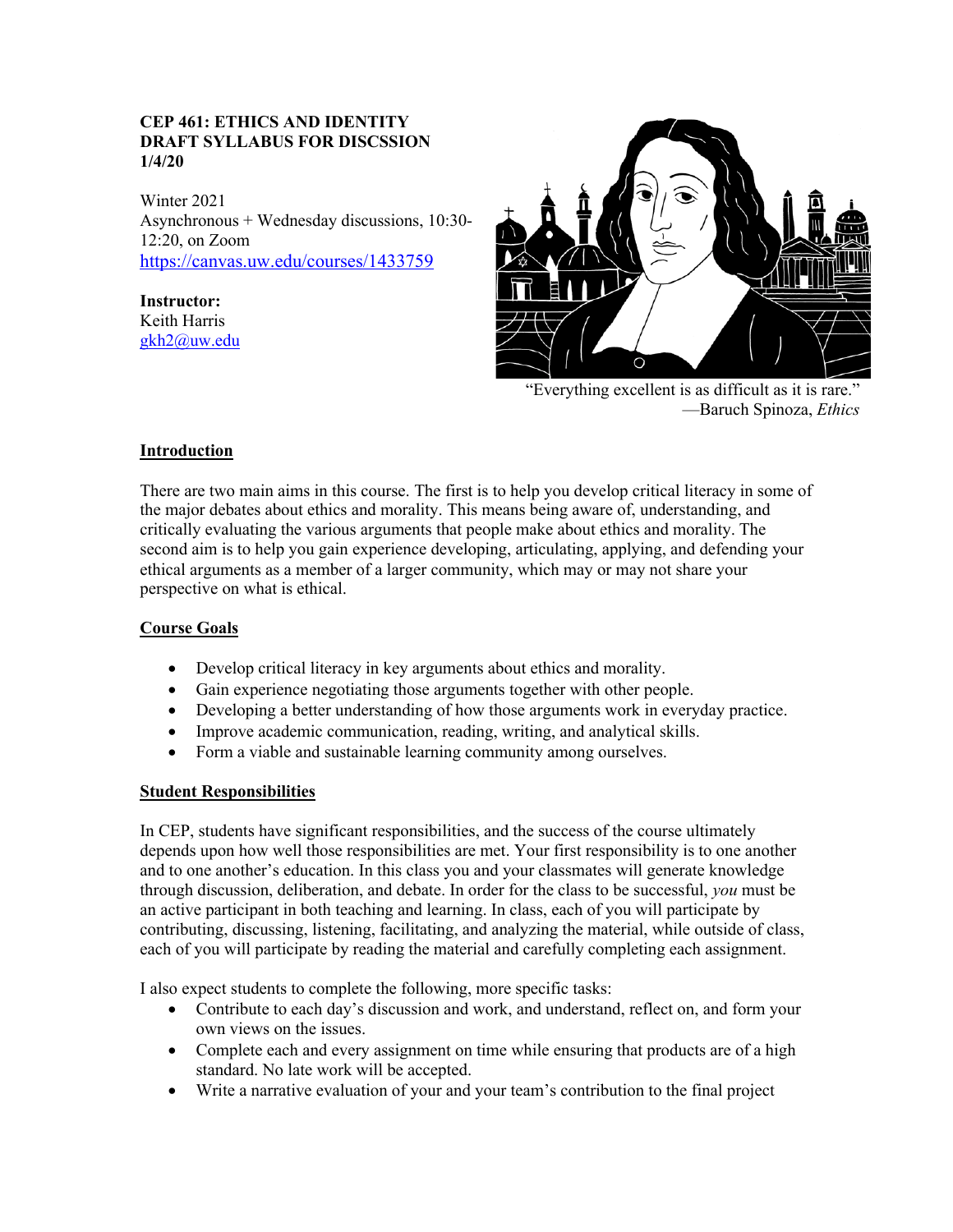#### **CEP 461: ETHICS AND IDENTITY DRAFT SYLLABUS FOR DISCSSION 1/4/20**

Winter 2021 Asynchronous + Wednesday discussions, 10:30- 12:20, on Zoom https://canvas.uw.edu/courses/1433759

### **Instructor:**

Keith Harris gkh2@uw.edu



"Everything excellent is as difficult as it is rare." —Baruch Spinoza, *Ethics*

# **Introduction**

There are two main aims in this course. The first is to help you develop critical literacy in some of the major debates about ethics and morality. This means being aware of, understanding, and critically evaluating the various arguments that people make about ethics and morality. The second aim is to help you gain experience developing, articulating, applying, and defending your ethical arguments as a member of a larger community, which may or may not share your perspective on what is ethical.

# **Course Goals**

- Develop critical literacy in key arguments about ethics and morality.
- Gain experience negotiating those arguments together with other people.
- Developing a better understanding of how those arguments work in everyday practice.
- Improve academic communication, reading, writing, and analytical skills.
- Form a viable and sustainable learning community among ourselves.

# **Student Responsibilities**

In CEP, students have significant responsibilities, and the success of the course ultimately depends upon how well those responsibilities are met. Your first responsibility is to one another and to one another's education. In this class you and your classmates will generate knowledge through discussion, deliberation, and debate. In order for the class to be successful, *you* must be an active participant in both teaching and learning. In class, each of you will participate by contributing, discussing, listening, facilitating, and analyzing the material, while outside of class, each of you will participate by reading the material and carefully completing each assignment.

I also expect students to complete the following, more specific tasks:

- Contribute to each day's discussion and work, and understand, reflect on, and form your own views on the issues.
- Complete each and every assignment on time while ensuring that products are of a high standard. No late work will be accepted.
- Write a narrative evaluation of your and your team's contribution to the final project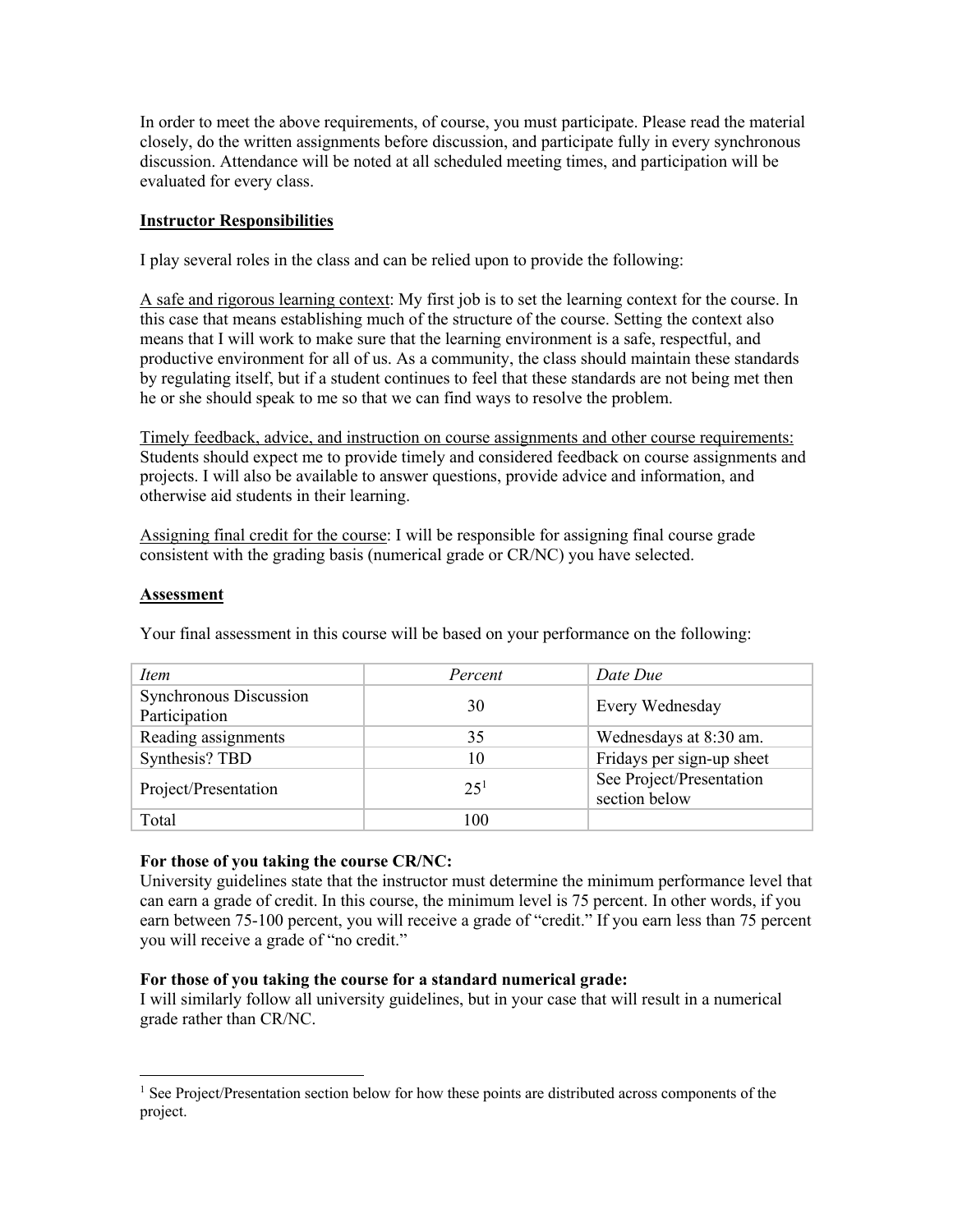In order to meet the above requirements, of course, you must participate. Please read the material closely, do the written assignments before discussion, and participate fully in every synchronous discussion. Attendance will be noted at all scheduled meeting times, and participation will be evaluated for every class.

#### **Instructor Responsibilities**

I play several roles in the class and can be relied upon to provide the following:

A safe and rigorous learning context: My first job is to set the learning context for the course. In this case that means establishing much of the structure of the course. Setting the context also means that I will work to make sure that the learning environment is a safe, respectful, and productive environment for all of us. As a community, the class should maintain these standards by regulating itself, but if a student continues to feel that these standards are not being met then he or she should speak to me so that we can find ways to resolve the problem.

Timely feedback, advice, and instruction on course assignments and other course requirements: Students should expect me to provide timely and considered feedback on course assignments and projects. I will also be available to answer questions, provide advice and information, and otherwise aid students in their learning.

Assigning final credit for the course: I will be responsible for assigning final course grade consistent with the grading basis (numerical grade or CR/NC) you have selected.

#### **Assessment**

| Item                                    | Percent | Date Due                                  |
|-----------------------------------------|---------|-------------------------------------------|
| Synchronous Discussion<br>Participation | 30      | Every Wednesday                           |
| Reading assignments                     | 35      | Wednesdays at 8:30 am.                    |
| Synthesis? TBD                          | 10      | Fridays per sign-up sheet                 |
| Project/Presentation                    | $25^1$  | See Project/Presentation<br>section below |
| Total                                   | 100     |                                           |

Your final assessment in this course will be based on your performance on the following:

# **For those of you taking the course CR/NC:**

University guidelines state that the instructor must determine the minimum performance level that can earn a grade of credit. In this course, the minimum level is 75 percent. In other words, if you earn between 75-100 percent, you will receive a grade of "credit." If you earn less than 75 percent you will receive a grade of "no credit."

# **For those of you taking the course for a standard numerical grade:**

I will similarly follow all university guidelines, but in your case that will result in a numerical grade rather than CR/NC.

<sup>&</sup>lt;sup>1</sup> See Project/Presentation section below for how these points are distributed across components of the project.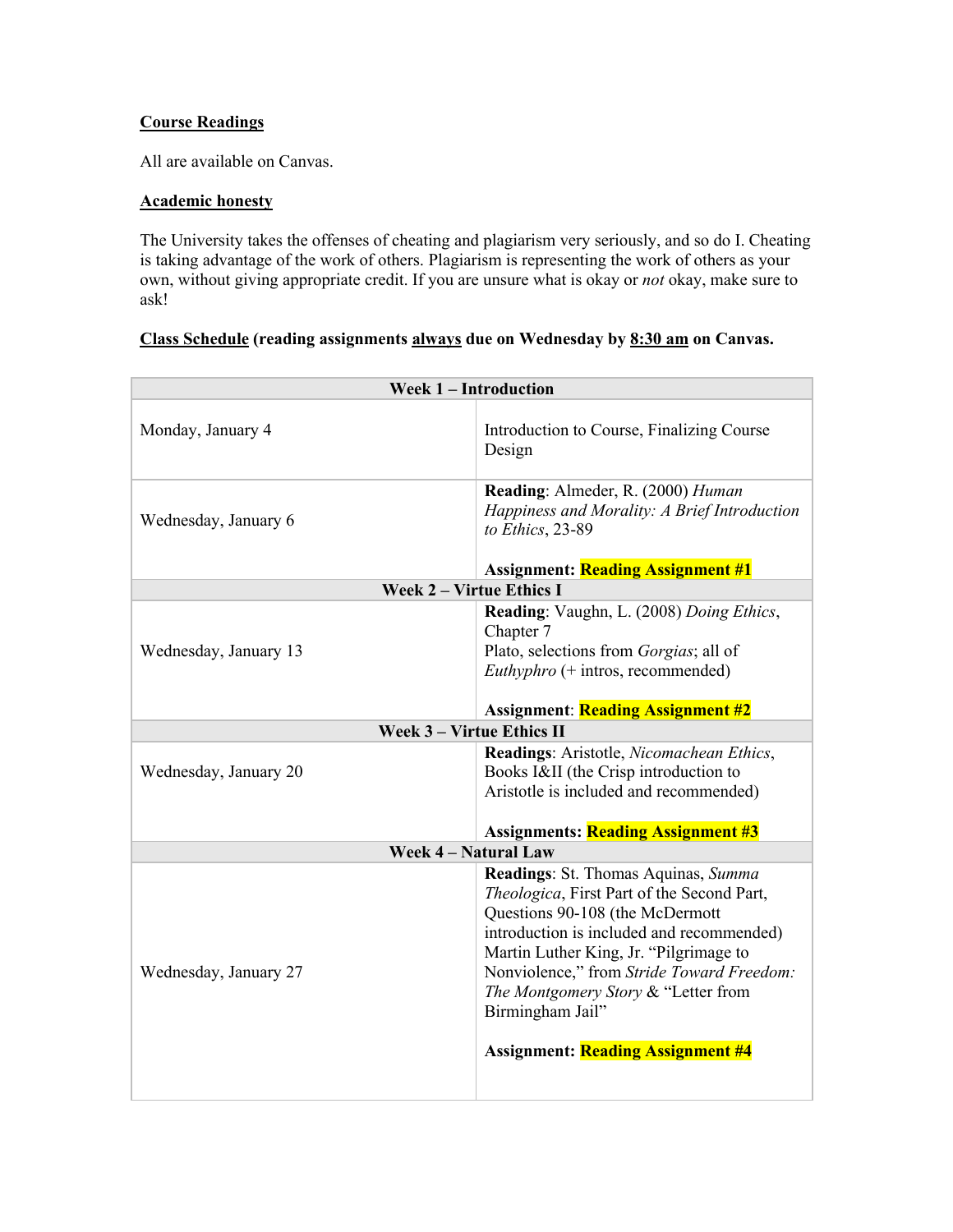### **Course Readings**

All are available on Canvas.

### **Academic honesty**

The University takes the offenses of cheating and plagiarism very seriously, and so do I. Cheating is taking advantage of the work of others. Plagiarism is representing the work of others as your own, without giving appropriate credit. If you are unsure what is okay or *not* okay, make sure to ask!

# **Class Schedule (reading assignments always due on Wednesday by 8:30 am on Canvas.**

| <b>Week 1-Introduction</b>       |                                                                                                                                                                                                                                                                                                                                                                 |  |  |  |
|----------------------------------|-----------------------------------------------------------------------------------------------------------------------------------------------------------------------------------------------------------------------------------------------------------------------------------------------------------------------------------------------------------------|--|--|--|
| Monday, January 4                | Introduction to Course, Finalizing Course<br>Design                                                                                                                                                                                                                                                                                                             |  |  |  |
| Wednesday, January 6             | Reading: Almeder, R. (2000) Human<br>Happiness and Morality: A Brief Introduction<br>to Ethics, 23-89<br><b>Assignment: Reading Assignment #1</b>                                                                                                                                                                                                               |  |  |  |
| <b>Week 2-Virtue Ethics I</b>    |                                                                                                                                                                                                                                                                                                                                                                 |  |  |  |
| Wednesday, January 13            | Reading: Vaughn, L. (2008) Doing Ethics,<br>Chapter 7<br>Plato, selections from Gorgias; all of<br><i>Euthyphro</i> (+ intros, recommended)<br><b>Assignment:</b> Reading Assignment #2                                                                                                                                                                         |  |  |  |
| <b>Week 3 - Virtue Ethics II</b> |                                                                                                                                                                                                                                                                                                                                                                 |  |  |  |
| Wednesday, January 20            | Readings: Aristotle, Nicomachean Ethics,<br>Books I&II (the Crisp introduction to<br>Aristotle is included and recommended)<br><b>Assignments: Reading Assignment #3</b>                                                                                                                                                                                        |  |  |  |
| <b>Week 4 - Natural Law</b>      |                                                                                                                                                                                                                                                                                                                                                                 |  |  |  |
| Wednesday, January 27            | Readings: St. Thomas Aquinas, Summa<br>Theologica, First Part of the Second Part,<br>Questions 90-108 (the McDermott<br>introduction is included and recommended)<br>Martin Luther King, Jr. "Pilgrimage to<br>Nonviolence," from Stride Toward Freedom:<br>The Montgomery Story & "Letter from<br>Birmingham Jail"<br><b>Assignment: Reading Assignment #4</b> |  |  |  |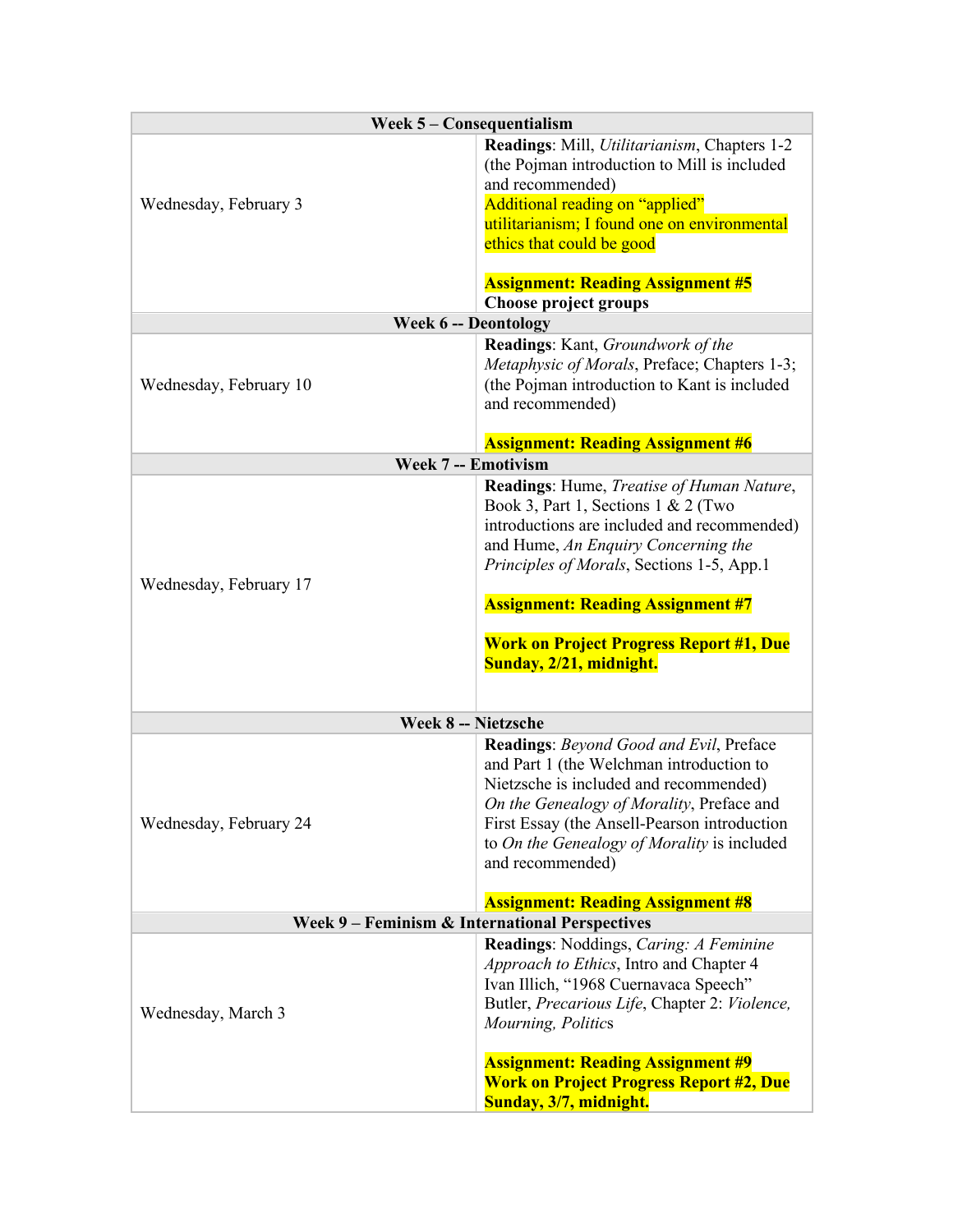| Week 5 - Consequentialism                                   |                                                                                                                                                                                                                                                                                                                                                 |  |  |  |
|-------------------------------------------------------------|-------------------------------------------------------------------------------------------------------------------------------------------------------------------------------------------------------------------------------------------------------------------------------------------------------------------------------------------------|--|--|--|
| Wednesday, February 3                                       | Readings: Mill, Utilitarianism, Chapters 1-2<br>(the Pojman introduction to Mill is included<br>and recommended)<br>Additional reading on "applied"<br>utilitarianism; I found one on environmental<br>ethics that could be good<br><b>Assignment: Reading Assignment #5</b>                                                                    |  |  |  |
| <b>Choose project groups</b><br><b>Week 6 -- Deontology</b> |                                                                                                                                                                                                                                                                                                                                                 |  |  |  |
| Wednesday, February 10                                      | Readings: Kant, Groundwork of the<br>Metaphysic of Morals, Preface; Chapters 1-3;<br>(the Pojman introduction to Kant is included<br>and recommended)                                                                                                                                                                                           |  |  |  |
|                                                             | <b>Assignment: Reading Assignment #6</b>                                                                                                                                                                                                                                                                                                        |  |  |  |
| <b>Week 7 -- Emotivism</b>                                  |                                                                                                                                                                                                                                                                                                                                                 |  |  |  |
| Wednesday, February 17                                      | Readings: Hume, Treatise of Human Nature,<br>Book 3, Part 1, Sections $1 \& 2$ (Two<br>introductions are included and recommended)<br>and Hume, An Enquiry Concerning the<br>Principles of Morals, Sections 1-5, App.1<br><b>Assignment: Reading Assignment #7</b><br><b>Work on Project Progress Report #1, Due</b><br>Sunday, 2/21, midnight. |  |  |  |
| <b>Week 8 -- Nietzsche</b>                                  |                                                                                                                                                                                                                                                                                                                                                 |  |  |  |
| Wednesday, February 24                                      | Readings: Beyond Good and Evil, Preface<br>and Part 1 (the Welchman introduction to<br>Nietzsche is included and recommended)<br>On the Genealogy of Morality, Preface and<br>First Essay (the Ansell-Pearson introduction<br>to On the Genealogy of Morality is included<br>and recommended)                                                   |  |  |  |
|                                                             | <b>Assignment: Reading Assignment #8</b>                                                                                                                                                                                                                                                                                                        |  |  |  |
| Week 9 – Feminism & International Perspectives              |                                                                                                                                                                                                                                                                                                                                                 |  |  |  |
| Wednesday, March 3                                          | Readings: Noddings, Caring: A Feminine<br>Approach to Ethics, Intro and Chapter 4<br>Ivan Illich, "1968 Cuernavaca Speech"<br>Butler, Precarious Life, Chapter 2: Violence,<br>Mourning, Politics                                                                                                                                               |  |  |  |
|                                                             | <b>Assignment: Reading Assignment #9</b><br><b>Work on Project Progress Report #2, Due</b><br>Sunday, 3/7, midnight.                                                                                                                                                                                                                            |  |  |  |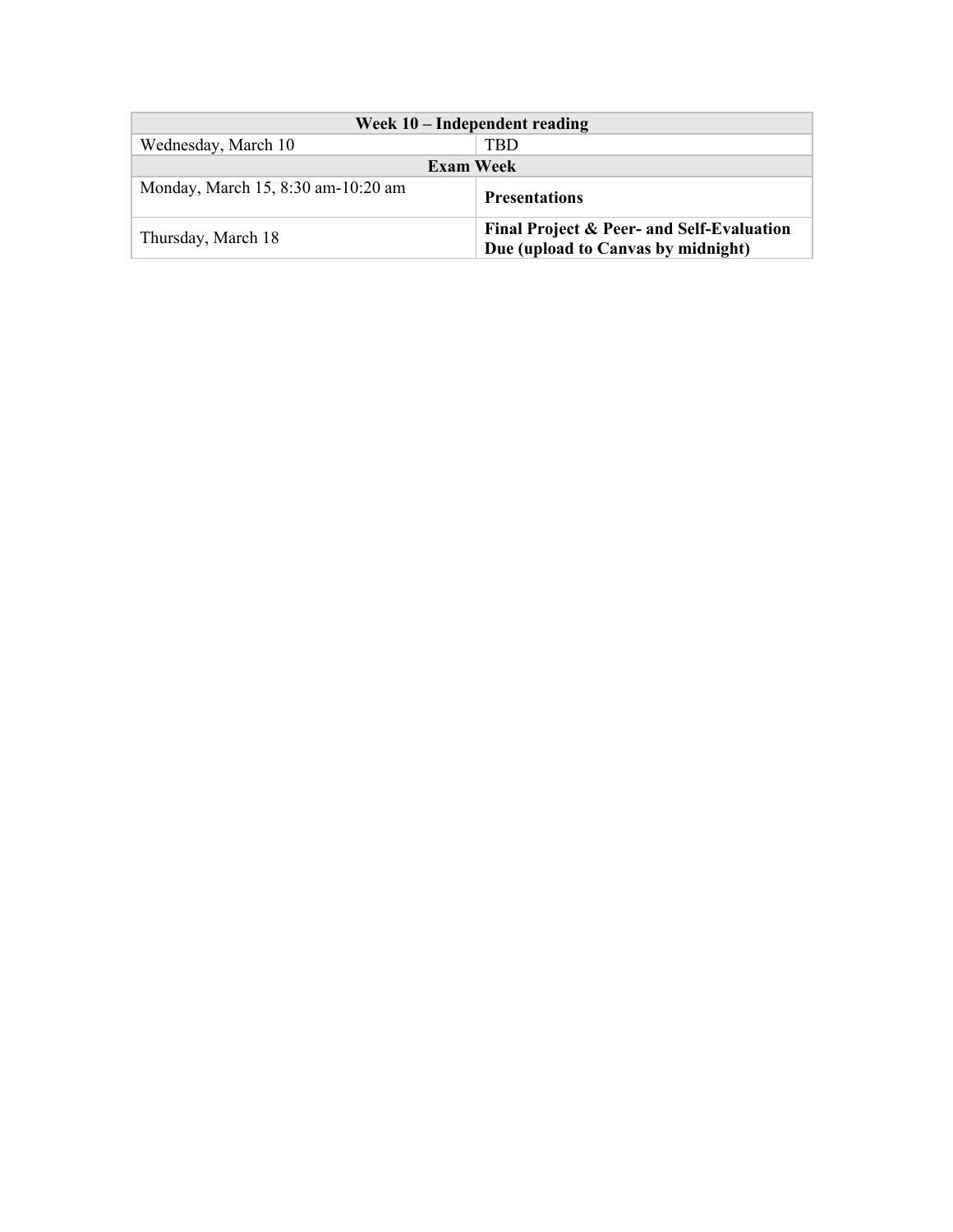| Week 10 – Independent reading      |                                                                                            |  |  |  |
|------------------------------------|--------------------------------------------------------------------------------------------|--|--|--|
| Wednesday, March 10                | TBD                                                                                        |  |  |  |
| <b>Exam Week</b>                   |                                                                                            |  |  |  |
| Monday, March 15, 8:30 am-10:20 am | <b>Presentations</b>                                                                       |  |  |  |
| Thursday, March 18                 | <b>Final Project &amp; Peer- and Self-Evaluation</b><br>Due (upload to Canvas by midnight) |  |  |  |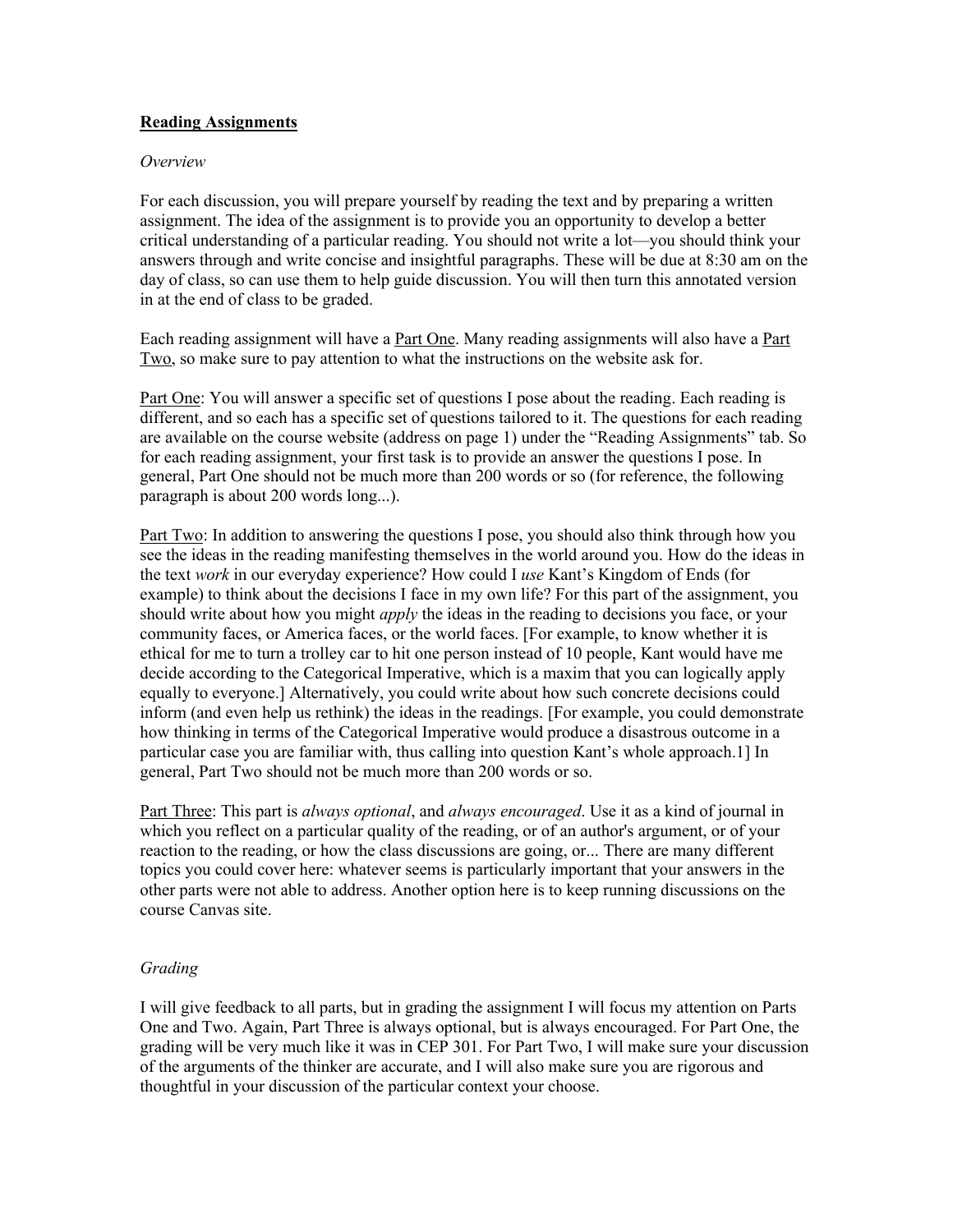#### **Reading Assignments**

#### *Overview*

For each discussion, you will prepare yourself by reading the text and by preparing a written assignment. The idea of the assignment is to provide you an opportunity to develop a better critical understanding of a particular reading. You should not write a lot—you should think your answers through and write concise and insightful paragraphs. These will be due at 8:30 am on the day of class, so can use them to help guide discussion. You will then turn this annotated version in at the end of class to be graded.

Each reading assignment will have a Part One. Many reading assignments will also have a Part Two, so make sure to pay attention to what the instructions on the website ask for.

Part One: You will answer a specific set of questions I pose about the reading. Each reading is different, and so each has a specific set of questions tailored to it. The questions for each reading are available on the course website (address on page 1) under the "Reading Assignments" tab. So for each reading assignment, your first task is to provide an answer the questions I pose. In general, Part One should not be much more than 200 words or so (for reference, the following paragraph is about 200 words long...).

Part Two: In addition to answering the questions I pose, you should also think through how you see the ideas in the reading manifesting themselves in the world around you. How do the ideas in the text *work* in our everyday experience? How could I *use* Kant's Kingdom of Ends (for example) to think about the decisions I face in my own life? For this part of the assignment, you should write about how you might *apply* the ideas in the reading to decisions you face, or your community faces, or America faces, or the world faces. [For example, to know whether it is ethical for me to turn a trolley car to hit one person instead of 10 people, Kant would have me decide according to the Categorical Imperative, which is a maxim that you can logically apply equally to everyone.] Alternatively, you could write about how such concrete decisions could inform (and even help us rethink) the ideas in the readings. [For example, you could demonstrate how thinking in terms of the Categorical Imperative would produce a disastrous outcome in a particular case you are familiar with, thus calling into question Kant's whole approach.1] In general, Part Two should not be much more than 200 words or so.

Part Three: This part is *always optional*, and *always encouraged*. Use it as a kind of journal in which you reflect on a particular quality of the reading, or of an author's argument, or of your reaction to the reading, or how the class discussions are going, or... There are many different topics you could cover here: whatever seems is particularly important that your answers in the other parts were not able to address. Another option here is to keep running discussions on the course Canvas site.

### *Grading*

I will give feedback to all parts, but in grading the assignment I will focus my attention on Parts One and Two. Again, Part Three is always optional, but is always encouraged. For Part One, the grading will be very much like it was in CEP 301. For Part Two, I will make sure your discussion of the arguments of the thinker are accurate, and I will also make sure you are rigorous and thoughtful in your discussion of the particular context your choose.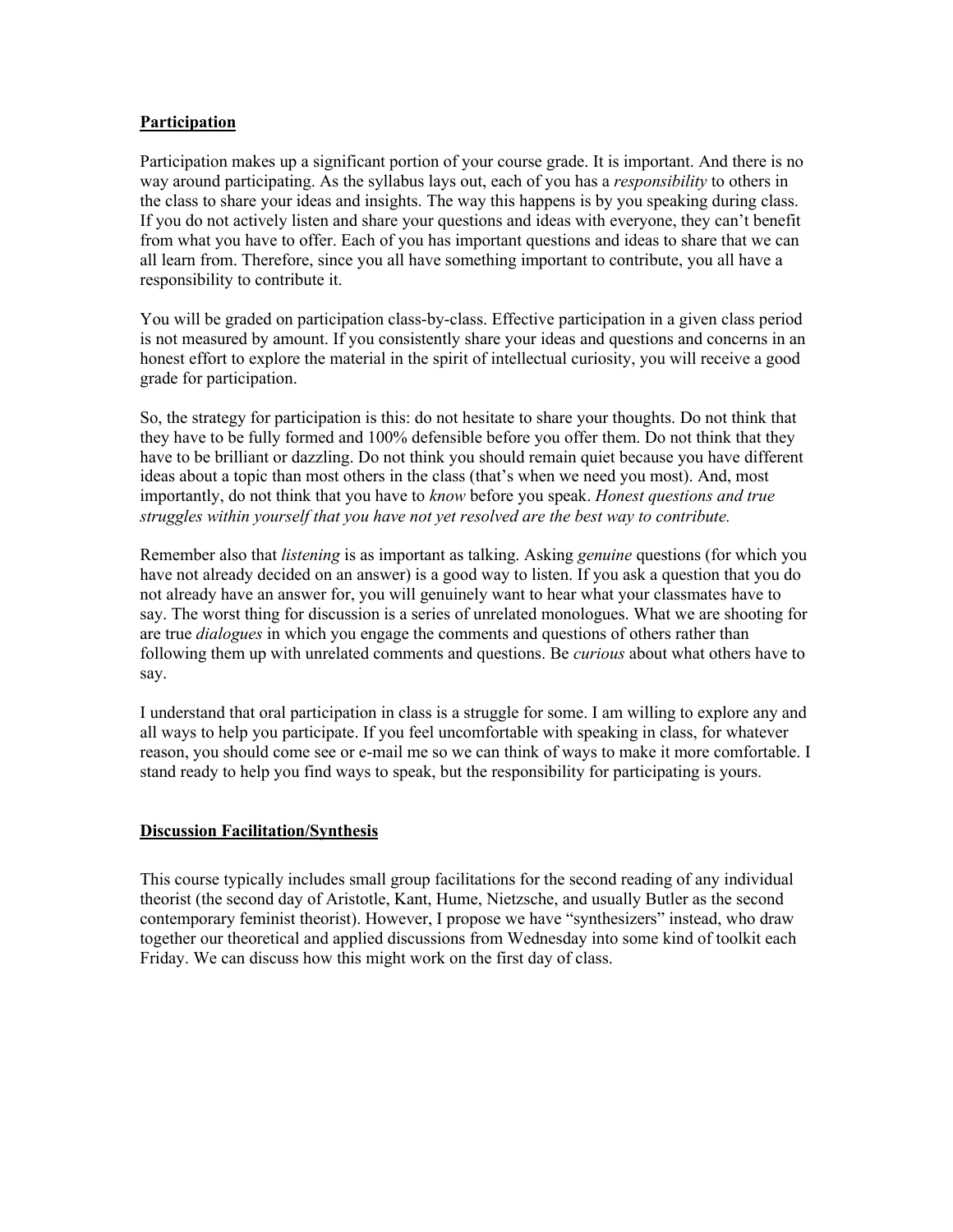### **Participation**

Participation makes up a significant portion of your course grade. It is important. And there is no way around participating. As the syllabus lays out, each of you has a *responsibility* to others in the class to share your ideas and insights. The way this happens is by you speaking during class. If you do not actively listen and share your questions and ideas with everyone, they can't benefit from what you have to offer. Each of you has important questions and ideas to share that we can all learn from. Therefore, since you all have something important to contribute, you all have a responsibility to contribute it.

You will be graded on participation class-by-class. Effective participation in a given class period is not measured by amount. If you consistently share your ideas and questions and concerns in an honest effort to explore the material in the spirit of intellectual curiosity, you will receive a good grade for participation.

So, the strategy for participation is this: do not hesitate to share your thoughts. Do not think that they have to be fully formed and 100% defensible before you offer them. Do not think that they have to be brilliant or dazzling. Do not think you should remain quiet because you have different ideas about a topic than most others in the class (that's when we need you most). And, most importantly, do not think that you have to *know* before you speak. *Honest questions and true struggles within yourself that you have not yet resolved are the best way to contribute.*

Remember also that *listening* is as important as talking. Asking *genuine* questions (for which you have not already decided on an answer) is a good way to listen. If you ask a question that you do not already have an answer for, you will genuinely want to hear what your classmates have to say. The worst thing for discussion is a series of unrelated monologues. What we are shooting for are true *dialogues* in which you engage the comments and questions of others rather than following them up with unrelated comments and questions. Be *curious* about what others have to say.

I understand that oral participation in class is a struggle for some. I am willing to explore any and all ways to help you participate. If you feel uncomfortable with speaking in class, for whatever reason, you should come see or e-mail me so we can think of ways to make it more comfortable. I stand ready to help you find ways to speak, but the responsibility for participating is yours.

### **Discussion Facilitation/Synthesis**

This course typically includes small group facilitations for the second reading of any individual theorist (the second day of Aristotle, Kant, Hume, Nietzsche, and usually Butler as the second contemporary feminist theorist). However, I propose we have "synthesizers" instead, who draw together our theoretical and applied discussions from Wednesday into some kind of toolkit each Friday. We can discuss how this might work on the first day of class.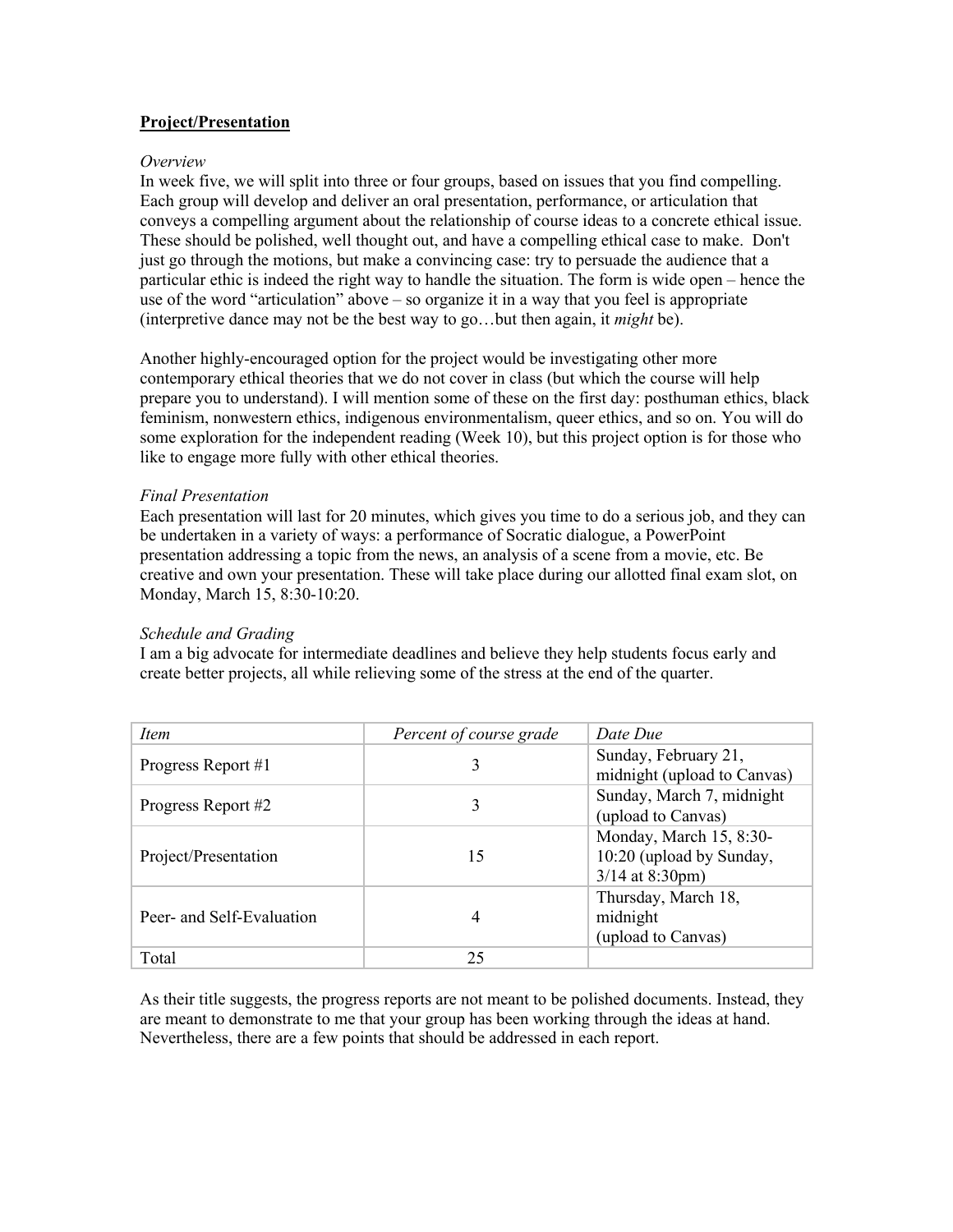#### **Project/Presentation**

#### *Overview*

In week five, we will split into three or four groups, based on issues that you find compelling. Each group will develop and deliver an oral presentation, performance, or articulation that conveys a compelling argument about the relationship of course ideas to a concrete ethical issue. These should be polished, well thought out, and have a compelling ethical case to make. Don't just go through the motions, but make a convincing case: try to persuade the audience that a particular ethic is indeed the right way to handle the situation. The form is wide open – hence the use of the word "articulation" above – so organize it in a way that you feel is appropriate (interpretive dance may not be the best way to go…but then again, it *might* be).

Another highly-encouraged option for the project would be investigating other more contemporary ethical theories that we do not cover in class (but which the course will help prepare you to understand). I will mention some of these on the first day: posthuman ethics, black feminism, nonwestern ethics, indigenous environmentalism, queer ethics, and so on. You will do some exploration for the independent reading (Week 10), but this project option is for those who like to engage more fully with other ethical theories.

#### *Final Presentation*

Each presentation will last for 20 minutes, which gives you time to do a serious job, and they can be undertaken in a variety of ways: a performance of Socratic dialogue, a PowerPoint presentation addressing a topic from the news, an analysis of a scene from a movie, etc. Be creative and own your presentation. These will take place during our allotted final exam slot, on Monday, March 15, 8:30-10:20.

### *Schedule and Grading*

I am a big advocate for intermediate deadlines and believe they help students focus early and create better projects, all while relieving some of the stress at the end of the quarter.

| <i>Item</i>               | Percent of course grade | Date Due                                                                 |
|---------------------------|-------------------------|--------------------------------------------------------------------------|
| Progress Report #1        | 3                       | Sunday, February 21,<br>midnight (upload to Canvas)                      |
| Progress Report #2        | 3                       | Sunday, March 7, midnight<br>(upload to Canvas)                          |
| Project/Presentation      | 15                      | Monday, March 15, 8:30-<br>10:20 (upload by Sunday,<br>$3/14$ at 8:30pm) |
| Peer- and Self-Evaluation | 4                       | Thursday, March 18,<br>midnight<br>(upload to Canvas)                    |
| Total                     | 25                      |                                                                          |

As their title suggests, the progress reports are not meant to be polished documents. Instead, they are meant to demonstrate to me that your group has been working through the ideas at hand. Nevertheless, there are a few points that should be addressed in each report.